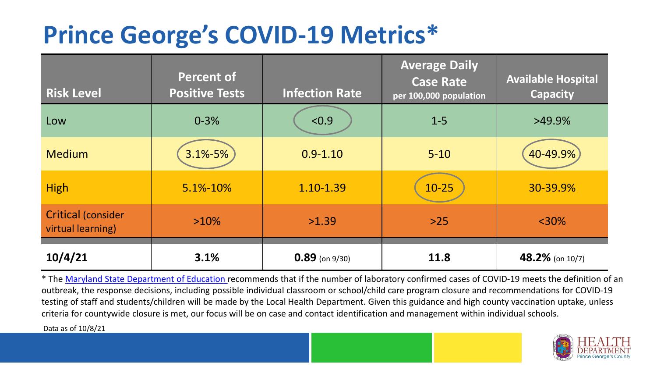## **Prince George's COVID-19 Metrics\***

| <b>Risk Level</b>                              | <b>Percent of</b><br><b>Positive Tests</b> | <b>Infection Rate</b> | <b>Average Daily</b><br><b>Case Rate</b><br>per 100,000 population | <b>Available Hospital</b><br><b>Capacity</b> |
|------------------------------------------------|--------------------------------------------|-----------------------|--------------------------------------------------------------------|----------------------------------------------|
| Low                                            | $0 - 3%$                                   | < 0.9                 | $1 - 5$                                                            | $>49.9\%$                                    |
| <b>Medium</b>                                  | $3.1\% - 5\%$                              | $0.9 - 1.10$          | $5 - 10$                                                           | 40-49.9%                                     |
| <b>High</b>                                    | 5.1%-10%                                   | 1.10-1.39             | $10 - 25$                                                          | 30-39.9%                                     |
| <b>Critical (consider</b><br>virtual learning) | $>10\%$                                    | >1.39                 | $>25$                                                              | $<$ 30%                                      |
| 10/4/21                                        | 3.1%                                       | $0.89$ (on 9/30)      | 11.8                                                               | 48.2% (on $10/7$ )                           |

\* The [Maryland State Department of Education r](https://earlychildhood.marylandpublicschools.org/system/files/filedepot/3/covid_guidance_full_080420.pdf)ecommends that if the number of laboratory confirmed cases of COVID-19 meets the definition of an outbreak, the response decisions, including possible individual classroom or school/child care program closure and recommendations for COVID-19 testing of staff and students/children will be made by the Local Health Department. Given this guidance and high county vaccination uptake, unless criteria for countywide closure is met, our focus will be on case and contact identification and management within individual schools.

Data as of 10/8/21

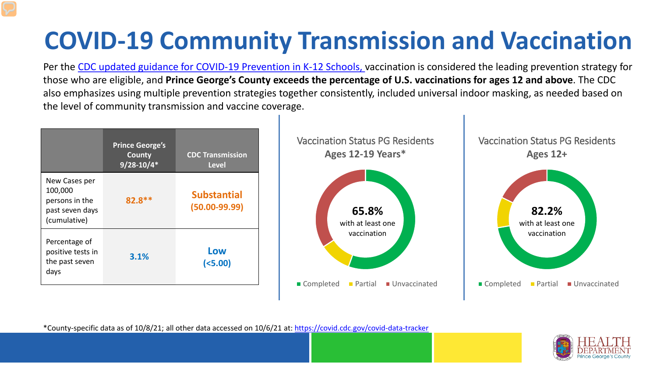# **COVID-19 Community Transmission and Vaccination**

Per the [CDC updated guidance for COVID-19 Prevention in K-12 Schools,](https://www.cdc.gov/coronavirus/2019-ncov/community/schools-childcare/k-12-guidance.html) vaccination is considered the leading prevention strategy for those who are eligible, and **Prince George's County exceeds the percentage of U.S. vaccinations for ages 12 and above**. The CDC also emphasizes using multiple prevention strategies together consistently, included universal indoor masking, as needed based on the level of community transmission and vaccine coverage.



\*County-specific data as of 10/8/21; all other data accessed on 10/6/21 at:<https://covid.cdc.gov/covid-data-tracker>

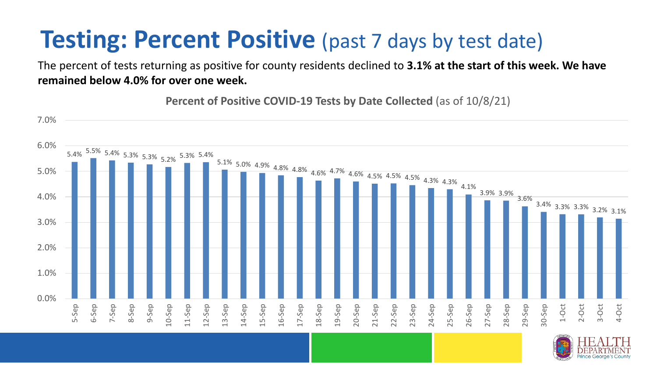### **Testing: Percent Positive** (past 7 days by test date)

The percent of tests returning as positive for county residents declined to **3.1% at the start of this week. We have remained below 4.0% for over one week.**

**Percent of Positive COVID-19 Tests by Date Collected** (as of 10/8/21)

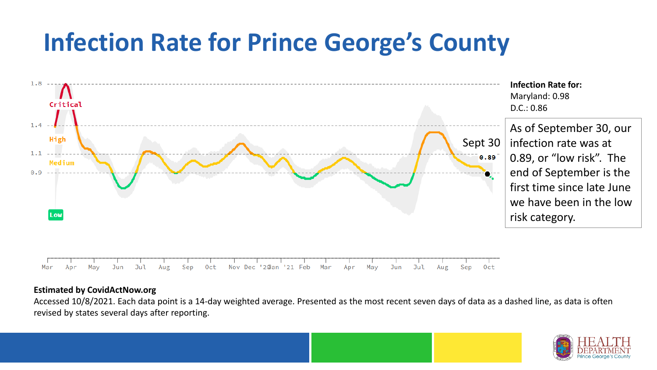### **Infection Rate for Prince George's County**



#### **Estimated by CovidActNow.org**

Accessed 10/8/2021. Each data point is a 14-day weighted average. Presented as the most recent seven days of data as a dashed line, as data is often revised by states several days after reporting.

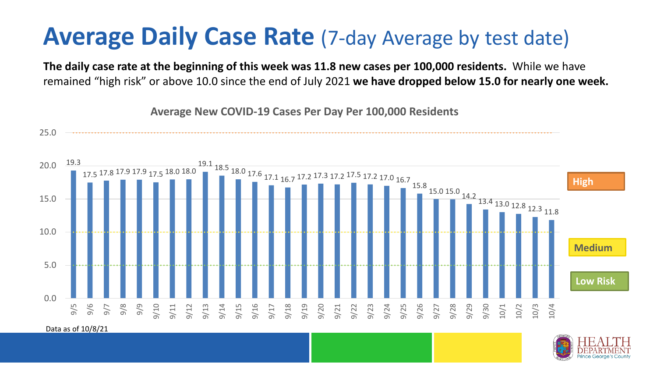#### **Average Daily Case Rate** (7-day Average by test date)

**The daily case rate at the beginning of this week was 11.8 new cases per 100,000 residents.** While we have remained "high risk" or above 10.0 since the end of July 2021 **we have dropped below 15.0 for nearly one week.** 

**Average New COVID-19 Cases Per Day Per 100,000 Residents**